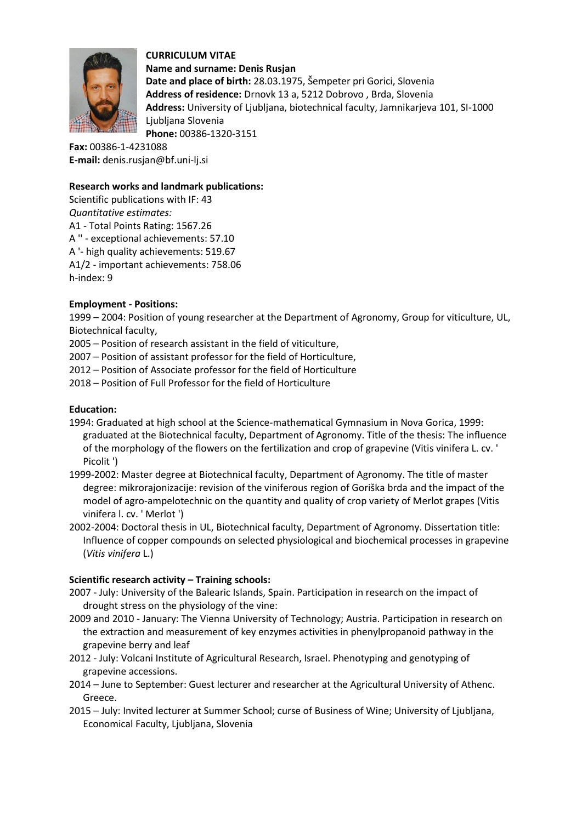

**CURRICULUM VITAE Name and surname: Denis Rusjan Date and place of birth:** 28.03.1975, Šempeter pri Gorici, Slovenia **Address of residence:** Drnovk 13 a, 5212 Dobrovo , Brda, Slovenia **Address:** University of Ljubljana, biotechnical faculty, Jamnikarjeva 101, SI-1000 Ljubljana Slovenia **Phone:** 00386-1320-3151

**Fax:** 00386-1-4231088 **E-mail:** denis.rusjan@bf.uni-lj.si

## **Research works and landmark publications:**

Scientific publications with IF: 43 *Quantitative estimates:*  A1 - Total Points Rating: 1567.26 A '' - exceptional achievements: 57.10 A '- high quality achievements: 519.67 A1/2 - important achievements: 758.06 h-index: 9

## **Employment - Positions:**

1999 – 2004: Position of young researcher at the Department of Agronomy, Group for viticulture, UL, Biotechnical faculty,

2005 – Position of research assistant in the field of viticulture,

- 2007 Position of assistant professor for the field of Horticulture,
- 2012 Position of Associate professor for the field of Horticulture
- 2018 Position of Full Professor for the field of Horticulture

## **Education:**

- 1994: Graduated at high school at the Science-mathematical Gymnasium in Nova Gorica, 1999: graduated at the Biotechnical faculty, Department of Agronomy. Title of the thesis: The influence of the morphology of the flowers on the fertilization and crop of grapevine (Vitis vinifera L. cv. ' Picolit ')
- 1999-2002: Master degree at Biotechnical faculty, Department of Agronomy. The title of master degree: mikrorajonizacije: revision of the viniferous region of Goriška brda and the impact of the model of agro-ampelotechnic on the quantity and quality of crop variety of Merlot grapes (Vitis vinifera l. cv. ' Merlot ')
- 2002-2004: Doctoral thesis in UL, Biotechnical faculty, Department of Agronomy. Dissertation title: Influence of copper compounds on selected physiological and biochemical processes in grapevine (*Vitis vinifera* L.)

## **Scientific research activity – Training schools:**

- 2007 July: University of the Balearic Islands, Spain. Participation in research on the impact of drought stress on the physiology of the vine:
- 2009 and 2010 January: The Vienna University of Technology; Austria. Participation in research on the extraction and measurement of key enzymes activities in phenylpropanoid pathway in the grapevine berry and leaf
- 2012 July: Volcani Institute of Agricultural Research, Israel. Phenotyping and genotyping of grapevine accessions.
- 2014 June to September: Guest lecturer and researcher at the Agricultural University of Athenc. Greece.
- 2015 July: Invited lecturer at Summer School; curse of Business of Wine; University of Ljubljana, Economical Faculty, Ljubljana, Slovenia